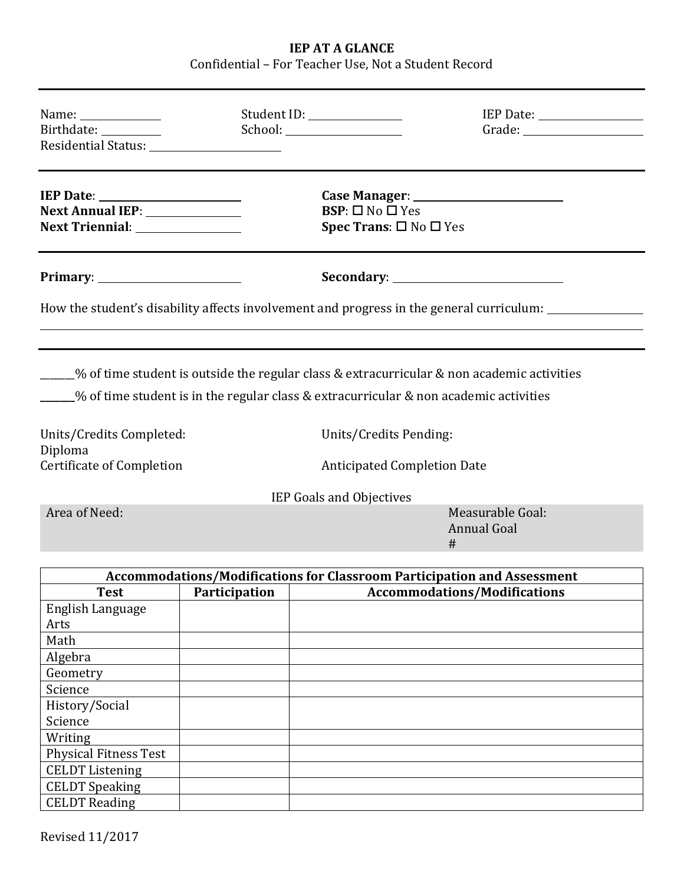# **IEP AT A GLANCE** Confidential – For Teacher Use, Not a Student Record

| Name: _______________<br>Birthdate: _________                      |               | Student ID: _______________                                                |                                                                                                                                                                                                                               |  |  |  |
|--------------------------------------------------------------------|---------------|----------------------------------------------------------------------------|-------------------------------------------------------------------------------------------------------------------------------------------------------------------------------------------------------------------------------|--|--|--|
| Next Annual IEP: _____________<br>Next Triennial: ________________ |               | $BSP: \Box$ No $\Box$ Yes<br><b>Spec Trans:</b> $\square$ No $\square$ Yes |                                                                                                                                                                                                                               |  |  |  |
|                                                                    |               |                                                                            |                                                                                                                                                                                                                               |  |  |  |
|                                                                    |               |                                                                            | How the student's disability affects involvement and progress in the general curriculum:                                                                                                                                      |  |  |  |
| Units/Credits Completed:                                           |               |                                                                            | ____% of time student is outside the regular class & extracurricular & non academic activities<br>$\frac{1}{2}$ of time student is in the regular class & extracurricular & non academic activities<br>Units/Credits Pending: |  |  |  |
| Diploma<br><b>Certificate of Completion</b>                        |               | <b>Anticipated Completion Date</b>                                         |                                                                                                                                                                                                                               |  |  |  |
|                                                                    |               | IEP Goals and Objectives                                                   |                                                                                                                                                                                                                               |  |  |  |
| Area of Need:                                                      |               |                                                                            | Measurable Goal:<br><b>Annual Goal</b><br>#                                                                                                                                                                                   |  |  |  |
|                                                                    |               |                                                                            | <b>Accommodations/Modifications for Classroom Participation and Assessment</b>                                                                                                                                                |  |  |  |
| <b>Test</b>                                                        | Participation |                                                                            | <b>Accommodations/Modifications</b>                                                                                                                                                                                           |  |  |  |
| English Language<br>Arts                                           |               |                                                                            |                                                                                                                                                                                                                               |  |  |  |
| Math<br>Algebra                                                    |               |                                                                            |                                                                                                                                                                                                                               |  |  |  |
| Geometry                                                           |               |                                                                            |                                                                                                                                                                                                                               |  |  |  |
| Science                                                            |               |                                                                            |                                                                                                                                                                                                                               |  |  |  |
| History/Social                                                     |               |                                                                            |                                                                                                                                                                                                                               |  |  |  |
| Science                                                            |               |                                                                            |                                                                                                                                                                                                                               |  |  |  |
| Writing                                                            |               |                                                                            |                                                                                                                                                                                                                               |  |  |  |
| <b>Physical Fitness Test</b>                                       |               |                                                                            |                                                                                                                                                                                                                               |  |  |  |
| <b>CELDT</b> Listening                                             |               |                                                                            |                                                                                                                                                                                                                               |  |  |  |
| <b>CELDT</b> Speaking                                              |               |                                                                            |                                                                                                                                                                                                                               |  |  |  |
| <b>CELDT</b> Reading                                               |               |                                                                            |                                                                                                                                                                                                                               |  |  |  |

Revised 11/2017